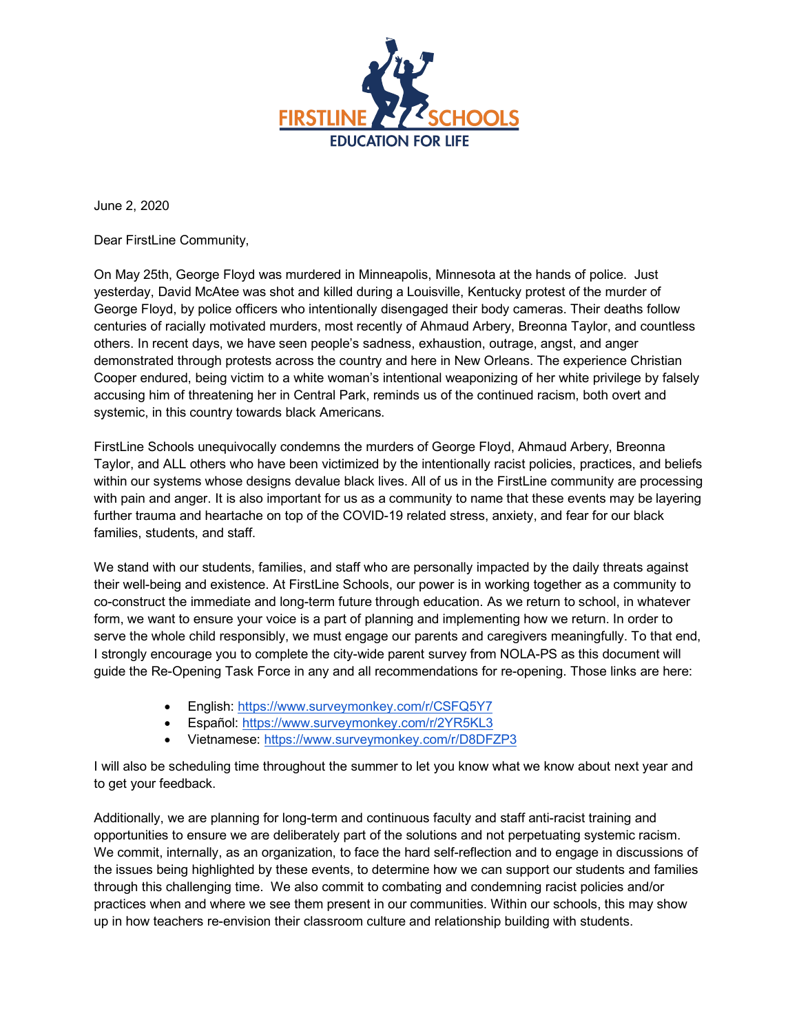

June 2, 2020

Dear FirstLine Community,

On May 25th, George Floyd was murdered in Minneapolis, Minnesota at the hands of police. Just yesterday, David McAtee was shot and killed during a Louisville, Kentucky protest of the murder of George Floyd, by police officers who intentionally disengaged their body cameras. Their deaths follow centuries of racially motivated murders, most recently of Ahmaud Arbery, Breonna Taylor, and countless others. In recent days, we have seen people's sadness, exhaustion, outrage, angst, and anger demonstrated through protests across the country and here in New Orleans. The experience Christian Cooper endured, being victim to a white woman's intentional weaponizing of her white privilege by falsely accusing him of threatening her in Central Park, reminds us of the continued racism, both overt and systemic, in this country towards black Americans.

FirstLine Schools unequivocally condemns the murders of George Floyd, Ahmaud Arbery, Breonna Taylor, and ALL others who have been victimized by the intentionally racist policies, practices, and beliefs within our systems whose designs devalue black lives. All of us in the FirstLine community are processing with pain and anger. It is also important for us as a community to name that these events may be layering further trauma and heartache on top of the COVID-19 related stress, anxiety, and fear for our black families, students, and staff.

We stand with our students, families, and staff who are personally impacted by the daily threats against their well-being and existence. At FirstLine Schools, our power is in working together as a community to co-construct the immediate and long-term future through education. As we return to school, in whatever form, we want to ensure your voice is a part of planning and implementing how we return. In order to serve the whole child responsibly, we must engage our parents and caregivers meaningfully. To that end, I strongly encourage you to complete the city-wide parent survey from NOLA-PS as this document will guide the Re-Opening Task Force in any and all recommendations for re-opening. Those links are here:

- English: https://www.surveymonkey.com/r/CSFQ5Y7
- Español: https://www.surveymonkey.com/r/2YR5KL3
- Vietnamese: https://www.surveymonkey.com/r/D8DFZP3

I will also be scheduling time throughout the summer to let you know what we know about next year and to get your feedback.

Additionally, we are planning for long-term and continuous faculty and staff anti-racist training and opportunities to ensure we are deliberately part of the solutions and not perpetuating systemic racism. We commit, internally, as an organization, to face the hard self-reflection and to engage in discussions of the issues being highlighted by these events, to determine how we can support our students and families through this challenging time. We also commit to combating and condemning racist policies and/or practices when and where we see them present in our communities. Within our schools, this may show up in how teachers re-envision their classroom culture and relationship building with students.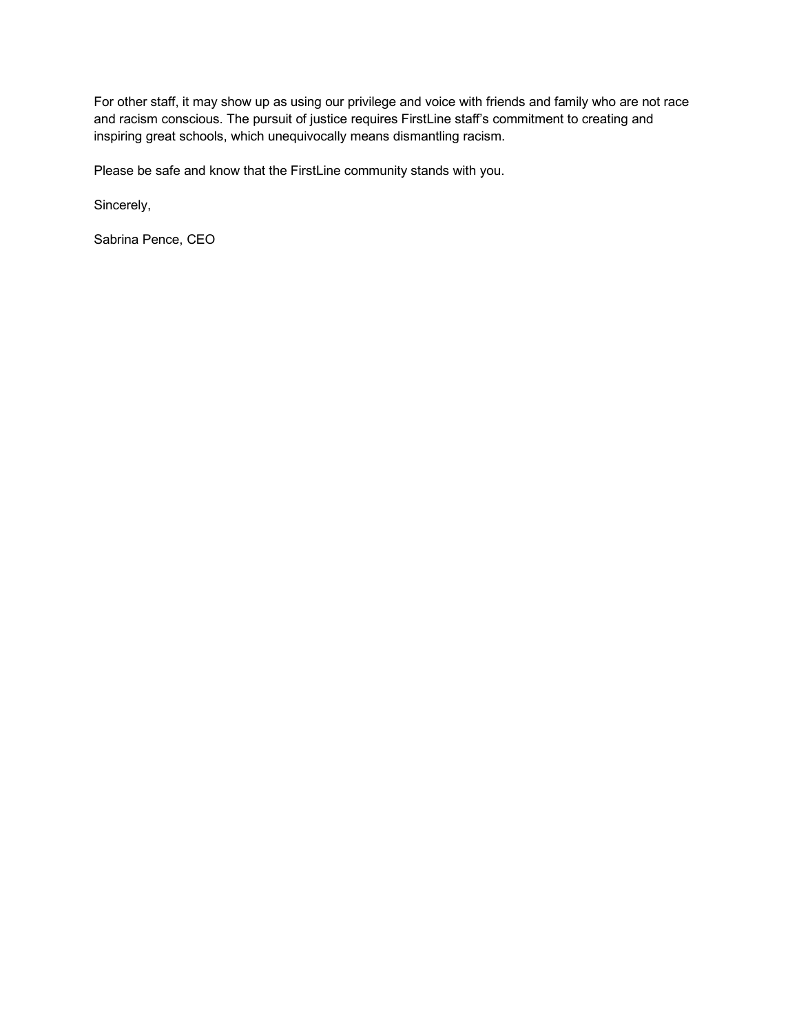For other staff, it may show up as using our privilege and voice with friends and family who are not race and racism conscious. The pursuit of justice requires FirstLine staff's commitment to creating and inspiring great schools, which unequivocally means dismantling racism.

Please be safe and know that the FirstLine community stands with you.

Sincerely,

Sabrina Pence, CEO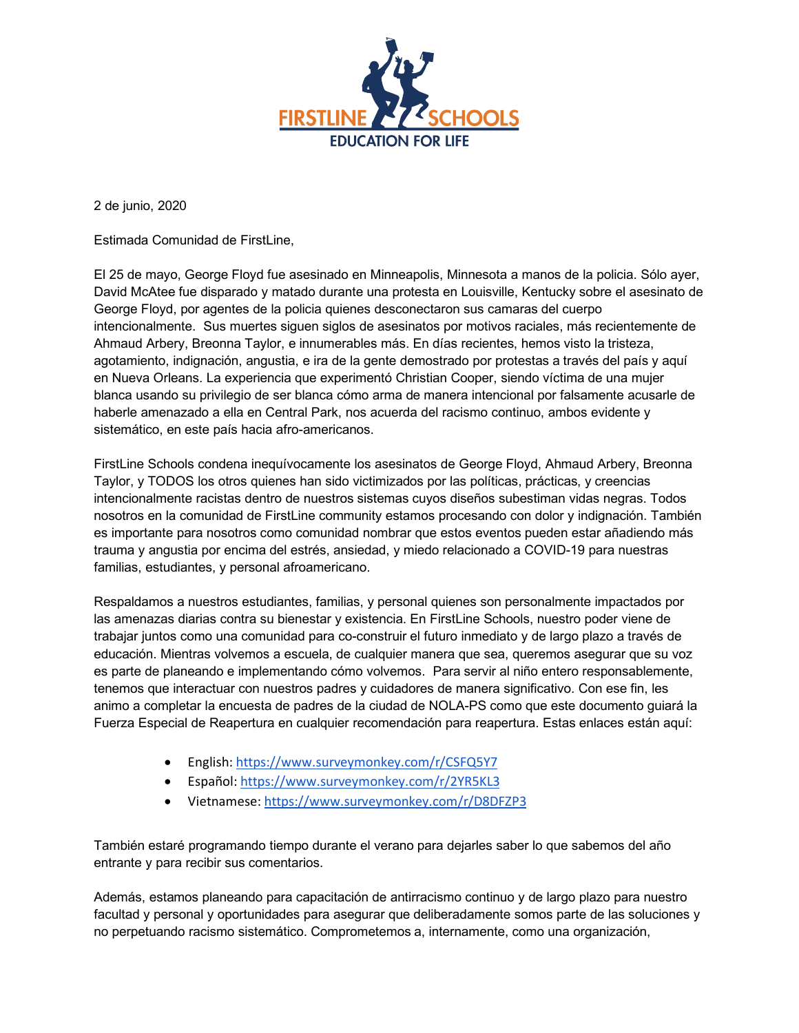

2 de junio, 2020

Estimada Comunidad de FirstLine,

El 25 de mayo, George Floyd fue asesinado en Minneapolis, Minnesota a manos de la policia. Sólo ayer, David McAtee fue disparado y matado durante una protesta en Louisville, Kentucky sobre el asesinato de George Floyd, por agentes de la policia quienes desconectaron sus camaras del cuerpo intencionalmente. Sus muertes siguen siglos de asesinatos por motivos raciales, más recientemente de Ahmaud Arbery, Breonna Taylor, e innumerables más. En días recientes, hemos visto la tristeza, agotamiento, indignación, angustia, e ira de la gente demostrado por protestas a través del país y aquí en Nueva Orleans. La experiencia que experimentó Christian Cooper, siendo víctima de una mujer blanca usando su privilegio de ser blanca cómo arma de manera intencional por falsamente acusarle de haberle amenazado a ella en Central Park, nos acuerda del racismo continuo, ambos evidente y sistemático, en este país hacia afro-americanos.

FirstLine Schools condena inequívocamente los asesinatos de George Floyd, Ahmaud Arbery, Breonna Taylor, y TODOS los otros quienes han sido victimizados por las políticas, prácticas, y creencias intencionalmente racistas dentro de nuestros sistemas cuyos diseños subestiman vidas negras. Todos nosotros en la comunidad de FirstLine community estamos procesando con dolor y indignación. También es importante para nosotros como comunidad nombrar que estos eventos pueden estar añadiendo más trauma y angustia por encima del estrés, ansiedad, y miedo relacionado a COVID-19 para nuestras familias, estudiantes, y personal afroamericano.

Respaldamos a nuestros estudiantes, familias, y personal quienes son personalmente impactados por las amenazas diarias contra su bienestar y existencia. En FirstLine Schools, nuestro poder viene de trabajar juntos como una comunidad para co-construir el futuro inmediato y de largo plazo a través de educación. Mientras volvemos a escuela, de cualquier manera que sea, queremos asegurar que su voz es parte de planeando e implementando cómo volvemos. Para servir al niño entero responsablemente, tenemos que interactuar con nuestros padres y cuidadores de manera significativo. Con ese fin, les animo a completar la encuesta de padres de la ciudad de NOLA-PS como que este documento guiará la Fuerza Especial de Reapertura en cualquier recomendación para reapertura. Estas enlaces están aquí:

- English: https://www.surveymonkey.com/r/CSFQ5Y7
- Español: https://www.surveymonkey.com/r/2YR5KL3
- Vietnamese: https://www.surveymonkey.com/r/D8DFZP3

También estaré programando tiempo durante el verano para dejarles saber lo que sabemos del año entrante y para recibir sus comentarios.

Además, estamos planeando para capacitación de antirracismo continuo y de largo plazo para nuestro facultad y personal y oportunidades para asegurar que deliberadamente somos parte de las soluciones y no perpetuando racismo sistemático. Comprometemos a, internamente, como una organización,